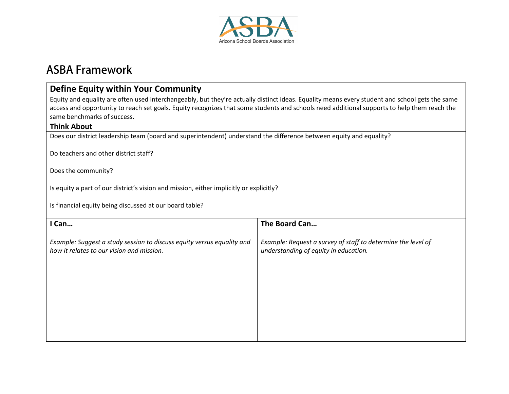

# **ASBA Framework**

## **Define Equity within Your Community**

Equity and equality are often used interchangeably, but they're actually distinct ideas. Equality means every student and school gets the same access and opportunity to reach set goals. Equity recognizes that some students and schools need additional supports to help them reach the same benchmarks of success.

### **Think About**

Does our district leadership team (board and superintendent) understand the difference between equity and equality?

Do teachers and other district staff?

Does the community?

Is equity a part of our district's vision and mission, either implicitly or explicitly?

Is financial equity being discussed at our board table?

| Can                                                                                                                 | The Board Can                                                                                         |
|---------------------------------------------------------------------------------------------------------------------|-------------------------------------------------------------------------------------------------------|
| Example: Suggest a study session to discuss equity versus equality and<br>how it relates to our vision and mission. | Example: Request a survey of staff to determine the level of<br>understanding of equity in education. |
|                                                                                                                     |                                                                                                       |
|                                                                                                                     |                                                                                                       |
|                                                                                                                     |                                                                                                       |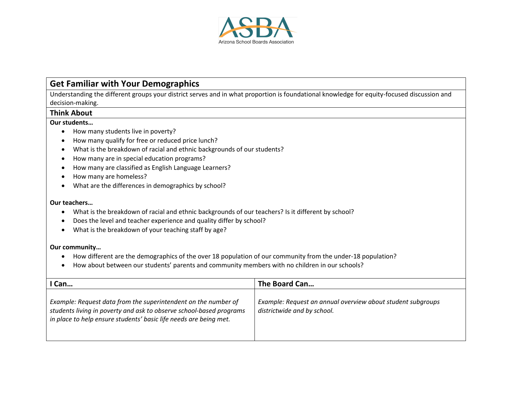

# **Get Familiar with Your Demographics**

Understanding the different groups your district serves and in what proportion is foundational knowledge for equity-focused discussion and decision-making.

### **Think About**

#### **Our students…**

- How many students live in poverty?
- How many qualify for free or reduced price lunch?
- What is the breakdown of racial and ethnic backgrounds of our students?
- How many are in special education programs?
- How many are classified as English Language Learners?
- How many are homeless?
- What are the differences in demographics by school?

#### **Our teachers…**

- What is the breakdown of racial and ethnic backgrounds of our teachers? Is it different by school?
- Does the level and teacher experience and quality differ by school?
- What is the breakdown of your teaching staff by age?

### **Our community…**

- How different are the demographics of the over 18 population of our community from the under-18 population?
- How about between our students' parents and community members with no children in our schools?

| Can                                                                                                                                                                                                        | The Board Can                                                                              |
|------------------------------------------------------------------------------------------------------------------------------------------------------------------------------------------------------------|--------------------------------------------------------------------------------------------|
| Example: Request data from the superintendent on the number of<br>students living in poverty and ask to observe school-based programs<br>in place to help ensure students' basic life needs are being met. | Example: Request an annual overview about student subgroups<br>districtwide and by school. |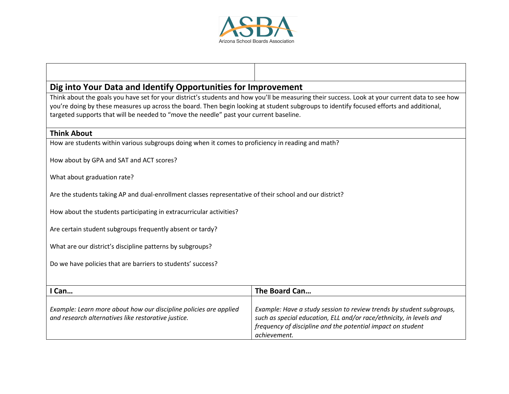

## **Dig into Your Data and Identify Opportunities for Improvement**

Think about the goals you have set for your district's students and how you'll be measuring their success. Look at your current data to see how you're doing by these measures up across the board. Then begin looking at student subgroups to identify focused efforts and additional, targeted supports that will be needed to "move the needle" past your current baseline.

### **Think About**

How are students within various subgroups doing when it comes to proficiency in reading and math?

How about by GPA and SAT and ACT scores?

What about graduation rate?

Are the students taking AP and dual-enrollment classes representative of their school and our district?

How about the students participating in extracurricular activities?

Are certain student subgroups frequently absent or tardy?

What are our district's discipline patterns by subgroups?

Do we have policies that are barriers to students' success?

| <sup>1</sup> Can                                                                                                         | The Board Can                                                                                                                                                                                                              |
|--------------------------------------------------------------------------------------------------------------------------|----------------------------------------------------------------------------------------------------------------------------------------------------------------------------------------------------------------------------|
| Example: Learn more about how our discipline policies are applied<br>and research alternatives like restorative justice. | Example: Have a study session to review trends by student subgroups,<br>such as special education, ELL and/or race/ethnicity, in levels and<br>frequency of discipline and the potential impact on student<br>achievement. |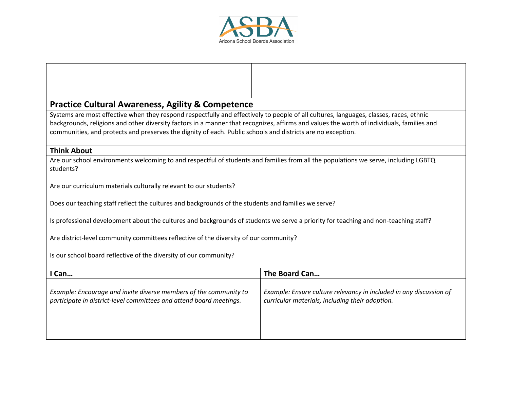

# **Practice Cultural Awareness, Agility & Competence**

Systems are most effective when they respond respectfully and effectively to people of all cultures, languages, classes, races, ethnic backgrounds, religions and other diversity factors in a manner that recognizes, affirms and values the worth of individuals, families and communities, and protects and preserves the dignity of each. Public schools and districts are no exception.

### **Think About**

Are our school environments welcoming to and respectful of students and families from all the populations we serve, including LGBTQ students?

Are our curriculum materials culturally relevant to our students?

Does our teaching staff reflect the cultures and backgrounds of the students and families we serve?

Is professional development about the cultures and backgrounds of students we serve a priority for teaching and non-teaching staff?

Are district-level community committees reflective of the diversity of our community?

Is our school board reflective of the diversity of our community?

| Can                                                                 | The Board Can                                                      |
|---------------------------------------------------------------------|--------------------------------------------------------------------|
| Example: Encourage and invite diverse members of the community to   | Example: Ensure culture relevancy in included in any discussion of |
| participate in district-level committees and attend board meetings. | curricular materials, including their adoption.                    |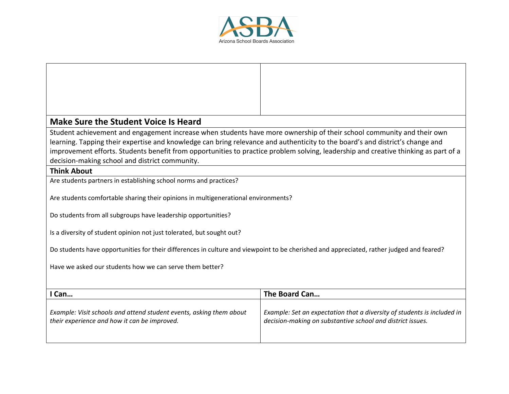

⊤

٦

Г

| <b>Make Sure the Student Voice Is Heard</b>                                                                                                                                           |                                                                                                                                       |  |
|---------------------------------------------------------------------------------------------------------------------------------------------------------------------------------------|---------------------------------------------------------------------------------------------------------------------------------------|--|
| Student achievement and engagement increase when students have more ownership of their school community and their own                                                                 |                                                                                                                                       |  |
| learning. Tapping their expertise and knowledge can bring relevance and authenticity to the board's and district's change and                                                         |                                                                                                                                       |  |
| improvement efforts. Students benefit from opportunities to practice problem solving, leadership and creative thinking as part of a<br>decision-making school and district community. |                                                                                                                                       |  |
| <b>Think About</b>                                                                                                                                                                    |                                                                                                                                       |  |
| Are students partners in establishing school norms and practices?                                                                                                                     |                                                                                                                                       |  |
| Are students comfortable sharing their opinions in multigenerational environments?                                                                                                    |                                                                                                                                       |  |
| Do students from all subgroups have leadership opportunities?                                                                                                                         |                                                                                                                                       |  |
| Is a diversity of student opinion not just tolerated, but sought out?                                                                                                                 |                                                                                                                                       |  |
| Do students have opportunities for their differences in culture and viewpoint to be cherished and appreciated, rather judged and feared?                                              |                                                                                                                                       |  |
| Have we asked our students how we can serve them better?                                                                                                                              |                                                                                                                                       |  |
|                                                                                                                                                                                       |                                                                                                                                       |  |
| I Can                                                                                                                                                                                 | The Board Can                                                                                                                         |  |
| Example: Visit schools and attend student events, asking them about<br>their experience and how it can be improved.                                                                   | Example: Set an expectation that a diversity of students is included in<br>decision-making on substantive school and district issues. |  |
|                                                                                                                                                                                       |                                                                                                                                       |  |